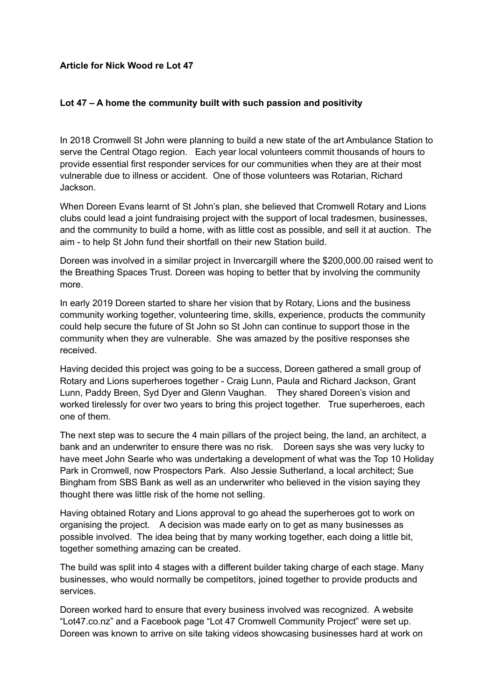## **Article for Nick Wood re Lot 47**

## **Lot 47 – A home the community built with such passion and positivity**

In 2018 Cromwell St John were planning to build a new state of the art Ambulance Station to serve the Central Otago region. Each year local volunteers commit thousands of hours to provide essential first responder services for our communities when they are at their most vulnerable due to illness or accident. One of those volunteers was Rotarian, Richard Jackson.

When Doreen Evans learnt of St John's plan, she believed that Cromwell Rotary and Lions clubs could lead a joint fundraising project with the support of local tradesmen, businesses, and the community to build a home, with as little cost as possible, and sell it at auction. The aim - to help St John fund their shortfall on their new Station build.

Doreen was involved in a similar project in Invercargill where the \$200,000.00 raised went to the Breathing Spaces Trust. Doreen was hoping to better that by involving the community more.

In early 2019 Doreen started to share her vision that by Rotary, Lions and the business community working together, volunteering time, skills, experience, products the community could help secure the future of St John so St John can continue to support those in the community when they are vulnerable. She was amazed by the positive responses she received.

Having decided this project was going to be a success, Doreen gathered a small group of Rotary and Lions superheroes together - Craig Lunn, Paula and Richard Jackson, Grant Lunn, Paddy Breen, Syd Dyer and Glenn Vaughan. They shared Doreen's vision and worked tirelessly for over two years to bring this project together. True superheroes, each one of them.

The next step was to secure the 4 main pillars of the project being, the land, an architect, a bank and an underwriter to ensure there was no risk. Doreen says she was very lucky to have meet John Searle who was undertaking a development of what was the Top 10 Holiday Park in Cromwell, now Prospectors Park. Also Jessie Sutherland, a local architect; Sue Bingham from SBS Bank as well as an underwriter who believed in the vision saying they thought there was little risk of the home not selling.

Having obtained Rotary and Lions approval to go ahead the superheroes got to work on organising the project. A decision was made early on to get as many businesses as possible involved. The idea being that by many working together, each doing a little bit, together something amazing can be created.

The build was split into 4 stages with a different builder taking charge of each stage. Many businesses, who would normally be competitors, joined together to provide products and services.

Doreen worked hard to ensure that every business involved was recognized. A website "Lot47.co.nz" and a Facebook page "Lot 47 Cromwell Community Project" were set up. Doreen was known to arrive on site taking videos showcasing businesses hard at work on